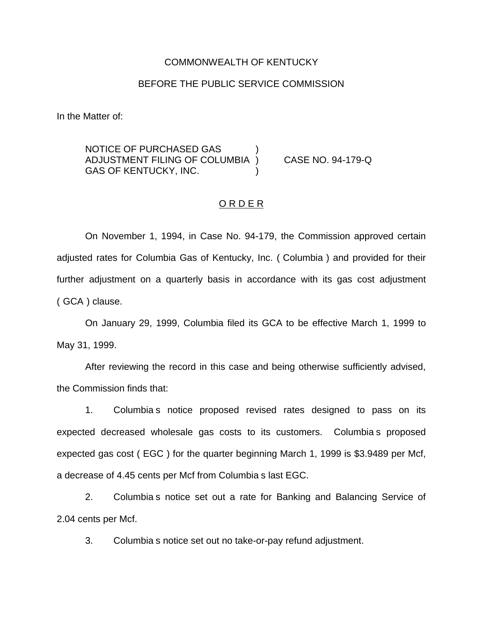#### COMMONWEALTH OF KENTUCKY

#### BEFORE THE PUBLIC SERVICE COMMISSION

In the Matter of:

NOTICE OF PURCHASED GAS ) ADJUSTMENT FILING OF COLUMBIA ) CASE NO. 94-179-Q GAS OF KENTUCKY, INC.

#### ORDER

On November 1, 1994, in Case No. 94-179, the Commission approved certain adjusted rates for Columbia Gas of Kentucky, Inc. ( Columbia ) and provided for their further adjustment on a quarterly basis in accordance with its gas cost adjustment ( GCA ) clause.

On January 29, 1999, Columbia filed its GCA to be effective March 1, 1999 to May 31, 1999.

After reviewing the record in this case and being otherwise sufficiently advised, the Commission finds that:

1. Columbia s notice proposed revised rates designed to pass on its expected decreased wholesale gas costs to its customers. Columbia s proposed expected gas cost ( EGC ) for the quarter beginning March 1, 1999 is \$3.9489 per Mcf, a decrease of 4.45 cents per Mcf from Columbia s last EGC.

2. Columbia s notice set out a rate for Banking and Balancing Service of 2.04 cents per Mcf.

3. Columbia s notice set out no take-or-pay refund adjustment.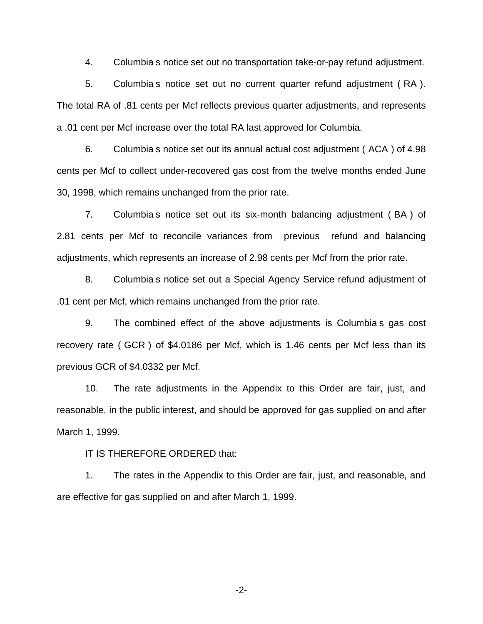4. Columbia s notice set out no transportation take-or-pay refund adjustment.

5. Columbia s notice set out no current quarter refund adjustment ( RA ). The total RA of .81 cents per Mcf reflects previous quarter adjustments, and represents a .01 cent per Mcf increase over the total RA last approved for Columbia.

6. Columbia s notice set out its annual actual cost adjustment ( ACA ) of 4.98 cents per Mcf to collect under-recovered gas cost from the twelve months ended June 30, 1998, which remains unchanged from the prior rate.

7. Columbia s notice set out its six-month balancing adjustment ( BA ) of 2.81 cents per Mcf to reconcile variances from previous refund and balancing adjustments, which represents an increase of 2.98 cents per Mcf from the prior rate.

8. Columbia s notice set out a Special Agency Service refund adjustment of .01 cent per Mcf, which remains unchanged from the prior rate.

9. The combined effect of the above adjustments is Columbia s gas cost recovery rate ( GCR ) of \$4.0186 per Mcf, which is 1.46 cents per Mcf less than its previous GCR of \$4.0332 per Mcf.

10. The rate adjustments in the Appendix to this Order are fair, just, and reasonable, in the public interest, and should be approved for gas supplied on and after March 1, 1999.

IT IS THEREFORE ORDERED that:

1. The rates in the Appendix to this Order are fair, just, and reasonable, and are effective for gas supplied on and after March 1, 1999.

-2-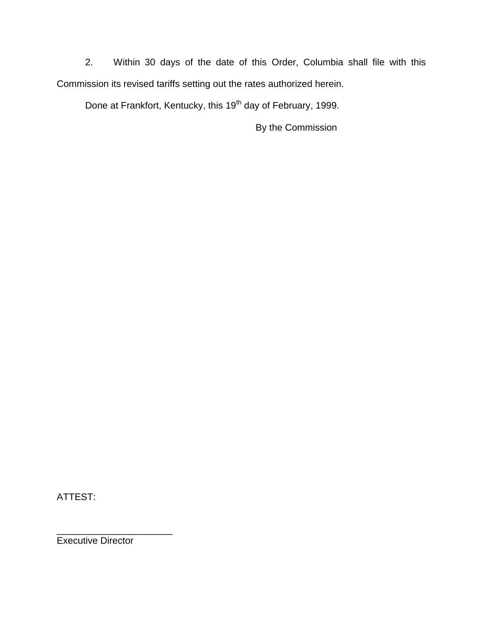2. Within 30 days of the date of this Order, Columbia shall file with this Commission its revised tariffs setting out the rates authorized herein.

Done at Frankfort, Kentucky, this 19<sup>th</sup> day of February, 1999.

By the Commission

ATTEST:

\_\_\_\_\_\_\_\_\_\_\_\_\_\_\_\_\_\_\_\_\_\_ Executive Director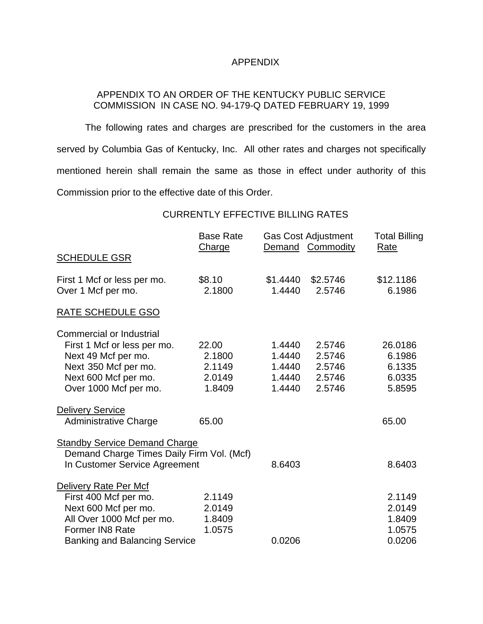### APPENDIX

## APPENDIX TO AN ORDER OF THE KENTUCKY PUBLIC SERVICE COMMISSION IN CASE NO. 94-179-Q DATED FEBRUARY 19, 1999

The following rates and charges are prescribed for the customers in the area served by Columbia Gas of Kentucky, Inc. All other rates and charges not specifically mentioned herein shall remain the same as those in effect under authority of this Commission prior to the effective date of this Order.

### CURRENTLY EFFECTIVE BILLING RATES

|                                           | <b>Base Rate</b><br>Charge |          | <b>Gas Cost Adjustment</b><br>Demand Commodity | <b>Total Billing</b><br>Rate |
|-------------------------------------------|----------------------------|----------|------------------------------------------------|------------------------------|
| <b>SCHEDULE GSR</b>                       |                            |          |                                                |                              |
| First 1 Mcf or less per mo.               | \$8.10                     | \$1.4440 | \$2.5746                                       | \$12.1186                    |
| Over 1 Mcf per mo.                        | 2.1800                     | 1.4440   | 2.5746                                         | 6.1986                       |
| <b>RATE SCHEDULE GSO</b>                  |                            |          |                                                |                              |
| <b>Commercial or Industrial</b>           |                            |          |                                                |                              |
| First 1 Mcf or less per mo.               | 22.00                      | 1.4440   | 2.5746                                         | 26.0186                      |
| Next 49 Mcf per mo.                       | 2.1800                     | 1.4440   | 2.5746                                         | 6.1986                       |
| Next 350 Mcf per mo.                      | 2.1149                     | 1.4440   | 2.5746                                         | 6.1335                       |
| Next 600 Mcf per mo.                      | 2.0149                     | 1.4440   | 2.5746                                         | 6.0335                       |
| Over 1000 Mcf per mo.                     | 1.8409                     | 1.4440   | 2.5746                                         | 5.8595                       |
| <b>Delivery Service</b>                   |                            |          |                                                |                              |
| <b>Administrative Charge</b>              | 65.00                      |          |                                                | 65.00                        |
| <b>Standby Service Demand Charge</b>      |                            |          |                                                |                              |
| Demand Charge Times Daily Firm Vol. (Mcf) |                            |          |                                                |                              |
| In Customer Service Agreement             |                            | 8.6403   |                                                | 8.6403                       |
| Delivery Rate Per Mcf                     |                            |          |                                                |                              |
| First 400 Mcf per mo.                     | 2.1149                     |          |                                                | 2.1149                       |
| Next 600 Mcf per mo.                      | 2.0149                     |          |                                                | 2.0149                       |
| All Over 1000 Mcf per mo.                 | 1.8409                     |          |                                                | 1.8409                       |
| Former IN8 Rate                           | 1.0575                     |          |                                                | 1.0575                       |
| <b>Banking and Balancing Service</b>      |                            | 0.0206   |                                                | 0.0206                       |